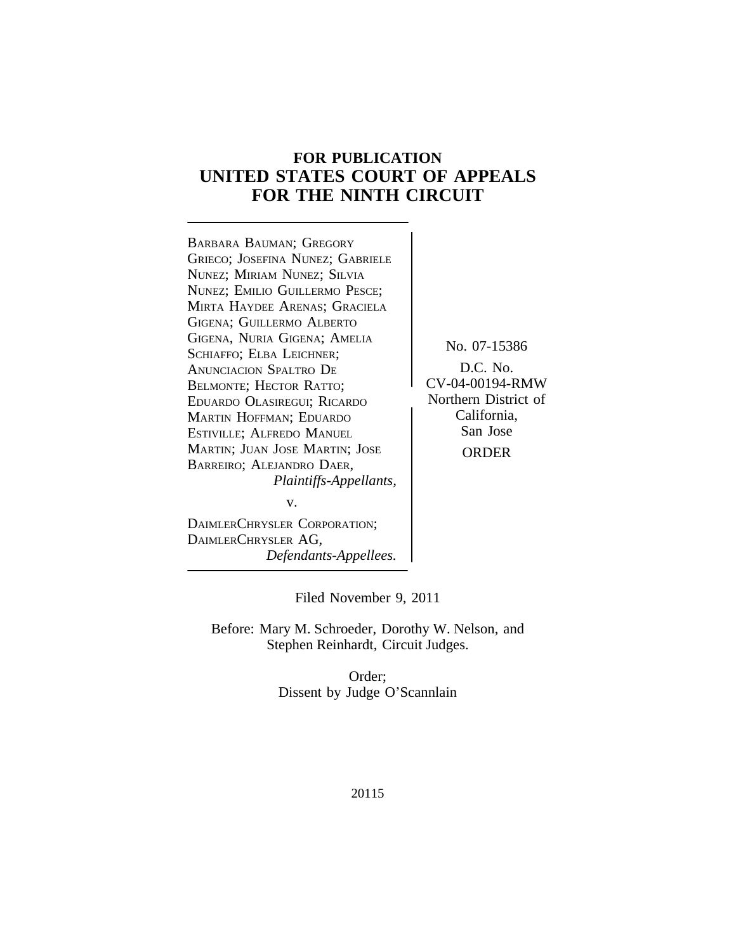# **FOR PUBLICATION UNITED STATES COURT OF APPEALS FOR THE NINTH CIRCUIT**

<sup>B</sup>ARBARA BAUMAN; GREGORY GRIECO; JOSEFINA NUNEZ; GABRIELE NUNEZ; MIRIAM NUNEZ; SILVIA NUNEZ; EMILIO GUILLERMO PESCE; MIRTA HAYDEE ARENAS; GRACIELA GIGENA; GUILLERMO ALBERTO GIGENA, NURIA GIGENA; AMELIA No. 07-15386<br>SCHIAFFO; ELBA LEICHNER; No. 07-15386<br>ANUNCIACIÓN SPALTRO DE D.C. No. ANUNCIACION SPALTRO DE D.C. No.<br>BELMONTE: HECTOR RATTO: CV-04-00194-RMW BELMONTE; HECTOR RATTO;<br>
EDUARDO OLASIREGUL: RICARDO >>>>>>>>>>>>>> Northern District of EDUARDO OLASIREGUI; RICARDO (Northern District of Northern District of Northern District of Northern District o MARTIN HOFFMAN; EDUARDO California<br>
Fstiville: Aleredo Manuel (San Jose) ESTIVILLE; ALFREDO MANUEL MARTIN; JUAN JOSE MARTIN; JOSE | ORDER BARREIRO; ALEJANDRO DAER, *Plaintiffs-Appellants,* v.

DAIMLERCHRYSLER AG, *Defendants-Appellees.*

DAIMLERCHRYSLER CORPORATION;

Filed November 9, 2011

Before: Mary M. Schroeder, Dorothy W. Nelson, and Stephen Reinhardt, Circuit Judges.

> Order; Dissent by Judge O'Scannlain

> > 20115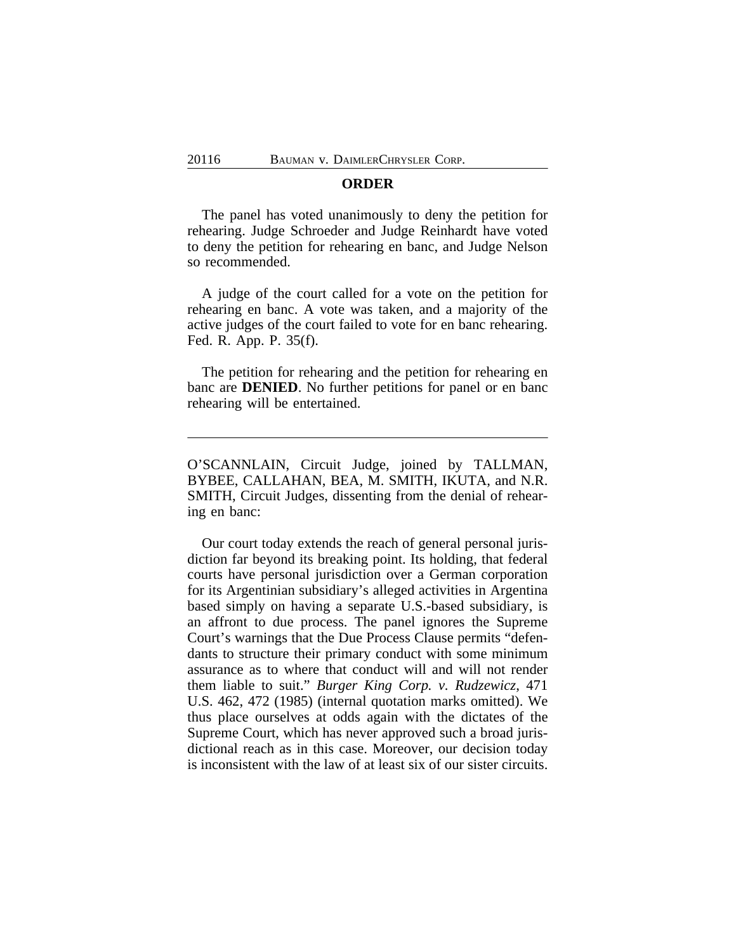#### **ORDER**

The panel has voted unanimously to deny the petition for rehearing. Judge Schroeder and Judge Reinhardt have voted to deny the petition for rehearing en banc, and Judge Nelson so recommended.

A judge of the court called for a vote on the petition for rehearing en banc. A vote was taken, and a majority of the active judges of the court failed to vote for en banc rehearing. Fed. R. App. P. 35(f).

The petition for rehearing and the petition for rehearing en banc are **DENIED**. No further petitions for panel or en banc rehearing will be entertained.

O'SCANNLAIN, Circuit Judge, joined by TALLMAN, BYBEE, CALLAHAN, BEA, M. SMITH, IKUTA, and N.R. SMITH, Circuit Judges, dissenting from the denial of rehearing en banc:

Our court today extends the reach of general personal jurisdiction far beyond its breaking point. Its holding, that federal courts have personal jurisdiction over a German corporation for its Argentinian subsidiary's alleged activities in Argentina based simply on having a separate U.S.-based subsidiary, is an affront to due process. The panel ignores the Supreme Court's warnings that the Due Process Clause permits "defendants to structure their primary conduct with some minimum assurance as to where that conduct will and will not render them liable to suit." *Burger King Corp. v. Rudzewicz*, 471 U.S. 462, 472 (1985) (internal quotation marks omitted). We thus place ourselves at odds again with the dictates of the Supreme Court, which has never approved such a broad jurisdictional reach as in this case. Moreover, our decision today is inconsistent with the law of at least six of our sister circuits.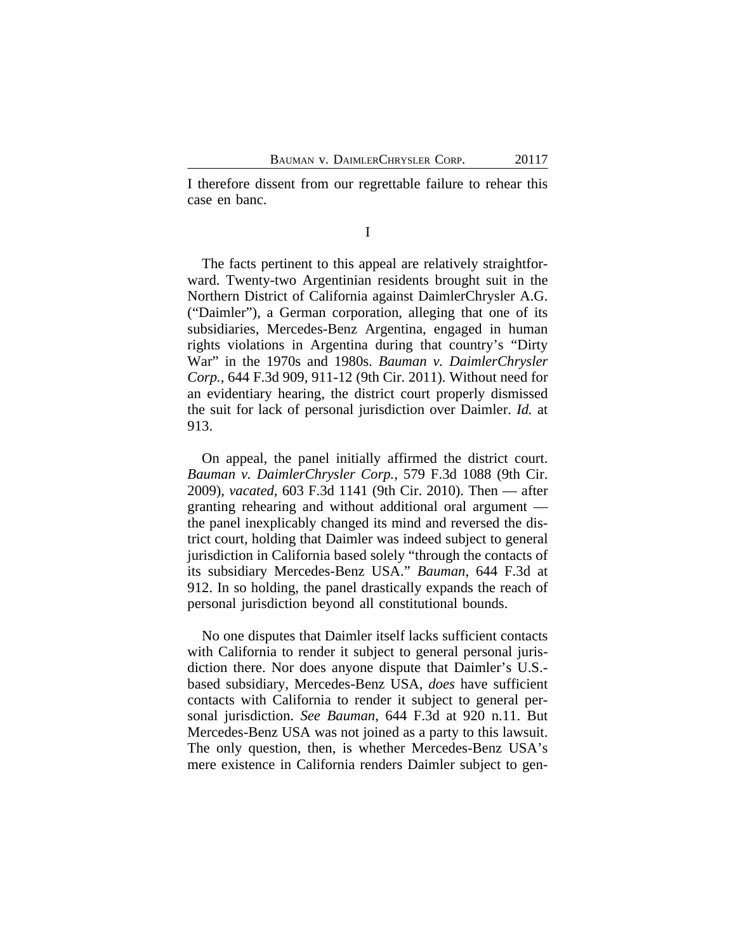I therefore dissent from our regrettable failure to rehear this case en banc.

I

The facts pertinent to this appeal are relatively straightforward. Twenty-two Argentinian residents brought suit in the Northern District of California against DaimlerChrysler A.G. ("Daimler"), a German corporation, alleging that one of its subsidiaries, Mercedes-Benz Argentina, engaged in human rights violations in Argentina during that country's "Dirty War" in the 1970s and 1980s. *Bauman v. DaimlerChrysler Corp.*, 644 F.3d 909, 911-12 (9th Cir. 2011). Without need for an evidentiary hearing, the district court properly dismissed the suit for lack of personal jurisdiction over Daimler. *Id.* at 913.

On appeal, the panel initially affirmed the district court. *Bauman v. DaimlerChrysler Corp.*, 579 F.3d 1088 (9th Cir. 2009), *vacated*, 603 F.3d 1141 (9th Cir. 2010). Then — after granting rehearing and without additional oral argument the panel inexplicably changed its mind and reversed the district court, holding that Daimler was indeed subject to general jurisdiction in California based solely "through the contacts of its subsidiary Mercedes-Benz USA." *Bauman*, 644 F.3d at 912. In so holding, the panel drastically expands the reach of personal jurisdiction beyond all constitutional bounds.

No one disputes that Daimler itself lacks sufficient contacts with California to render it subject to general personal jurisdiction there. Nor does anyone dispute that Daimler's U.S. based subsidiary, Mercedes-Benz USA, *does* have sufficient contacts with California to render it subject to general personal jurisdiction. *See Bauman*, 644 F.3d at 920 n.11. But Mercedes-Benz USA was not joined as a party to this lawsuit. The only question, then, is whether Mercedes-Benz USA's mere existence in California renders Daimler subject to gen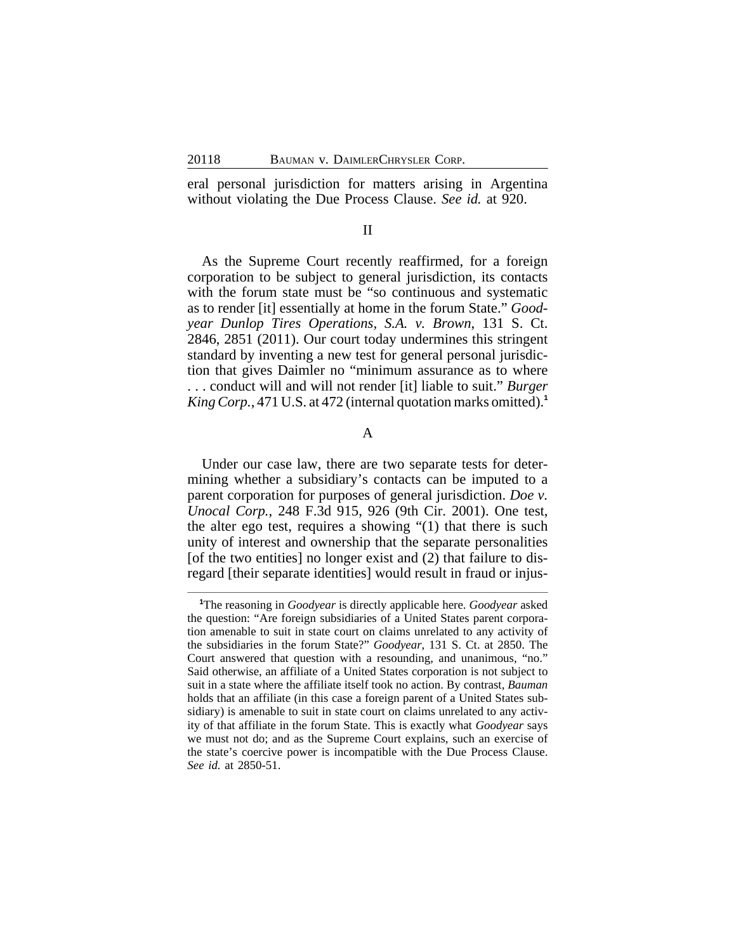eral personal jurisdiction for matters arising in Argentina without violating the Due Process Clause. *See id.* at 920.

## II

As the Supreme Court recently reaffirmed, for a foreign corporation to be subject to general jurisdiction, its contacts with the forum state must be "so continuous and systematic as to render [it] essentially at home in the forum State." *Goodyear Dunlop Tires Operations, S.A. v. Brown*, 131 S. Ct. 2846, 2851 (2011). Our court today undermines this stringent standard by inventing a new test for general personal jurisdiction that gives Daimler no "minimum assurance as to where . . . conduct will and will not render [it] liable to suit." *Burger King Corp.*, 471 U.S. at 472 (internal quotation marks omitted).**<sup>1</sup>**

## A

Under our case law, there are two separate tests for determining whether a subsidiary's contacts can be imputed to a parent corporation for purposes of general jurisdiction. *Doe v. Unocal Corp.*, 248 F.3d 915, 926 (9th Cir. 2001). One test, the alter ego test, requires a showing "(1) that there is such unity of interest and ownership that the separate personalities [of the two entities] no longer exist and (2) that failure to disregard [their separate identities] would result in fraud or injus-

**<sup>1</sup>**The reasoning in *Goodyear* is directly applicable here. *Goodyear* asked the question: "Are foreign subsidiaries of a United States parent corporation amenable to suit in state court on claims unrelated to any activity of the subsidiaries in the forum State?" *Goodyear*, 131 S. Ct. at 2850. The Court answered that question with a resounding, and unanimous, "no." Said otherwise, an affiliate of a United States corporation is not subject to suit in a state where the affiliate itself took no action. By contrast, *Bauman* holds that an affiliate (in this case a foreign parent of a United States subsidiary) is amenable to suit in state court on claims unrelated to any activity of that affiliate in the forum State. This is exactly what *Goodyear* says we must not do; and as the Supreme Court explains, such an exercise of the state's coercive power is incompatible with the Due Process Clause. *See id.* at 2850-51.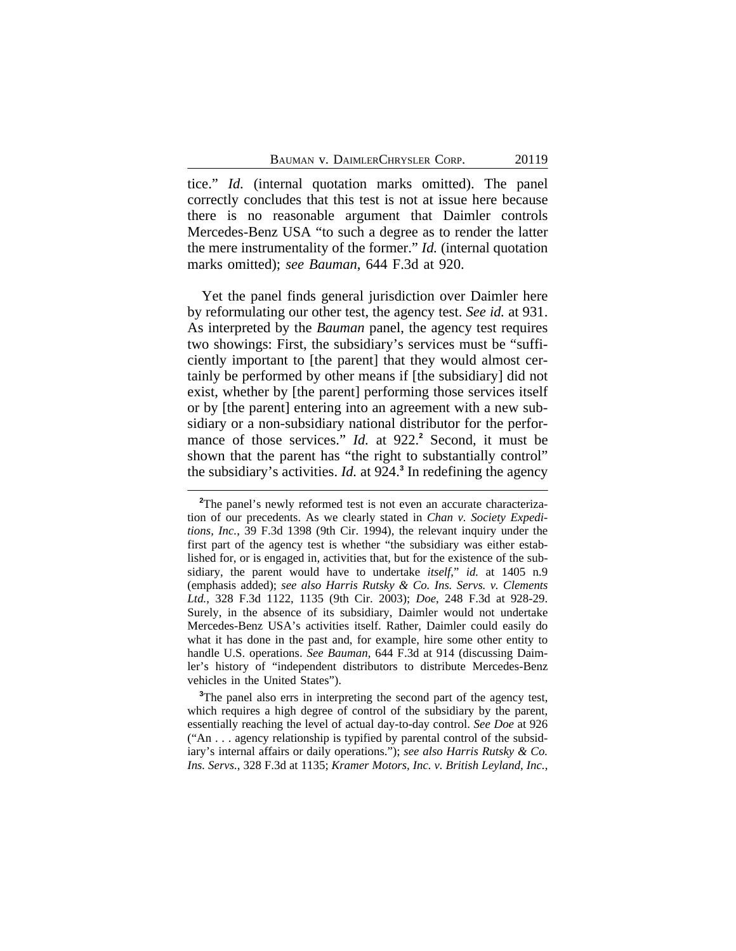tice." *Id.* (internal quotation marks omitted). The panel correctly concludes that this test is not at issue here because there is no reasonable argument that Daimler controls Mercedes-Benz USA "to such a degree as to render the latter the mere instrumentality of the former." *Id.* (internal quotation marks omitted); *see Bauman*, 644 F.3d at 920.

Yet the panel finds general jurisdiction over Daimler here by reformulating our other test, the agency test. *See id.* at 931. As interpreted by the *Bauman* panel, the agency test requires two showings: First, the subsidiary's services must be "sufficiently important to [the parent] that they would almost certainly be performed by other means if [the subsidiary] did not exist, whether by [the parent] performing those services itself or by [the parent] entering into an agreement with a new subsidiary or a non-subsidiary national distributor for the performance of those services." *Id.* at 922.<sup>2</sup> Second, it must be shown that the parent has "the right to substantially control" the subsidiary's activities. *Id.* at 924.**<sup>3</sup>** In redefining the agency

<sup>3</sup>The panel also errs in interpreting the second part of the agency test, which requires a high degree of control of the subsidiary by the parent, essentially reaching the level of actual day-to-day control. *See Doe* at 926 ("An . . . agency relationship is typified by parental control of the subsidiary's internal affairs or daily operations."); *see also Harris Rutsky & Co. Ins. Servs.*, 328 F.3d at 1135; *Kramer Motors, Inc. v. British Leyland, Inc.*,

<sup>&</sup>lt;sup>2</sup>The panel's newly reformed test is not even an accurate characterization of our precedents. As we clearly stated in *Chan v. Society Expeditions, Inc.*, 39 F.3d 1398 (9th Cir. 1994), the relevant inquiry under the first part of the agency test is whether "the subsidiary was either established for, or is engaged in, activities that, but for the existence of the subsidiary, the parent would have to undertake *itself*," *id.* at 1405 n.9 (emphasis added); *see also Harris Rutsky & Co. Ins. Servs. v. Clements Ltd.*, 328 F.3d 1122, 1135 (9th Cir. 2003); *Doe*, 248 F.3d at 928-29. Surely, in the absence of its subsidiary, Daimler would not undertake Mercedes-Benz USA's activities itself. Rather, Daimler could easily do what it has done in the past and, for example, hire some other entity to handle U.S. operations. *See Bauman*, 644 F.3d at 914 (discussing Daimler's history of "independent distributors to distribute Mercedes-Benz vehicles in the United States").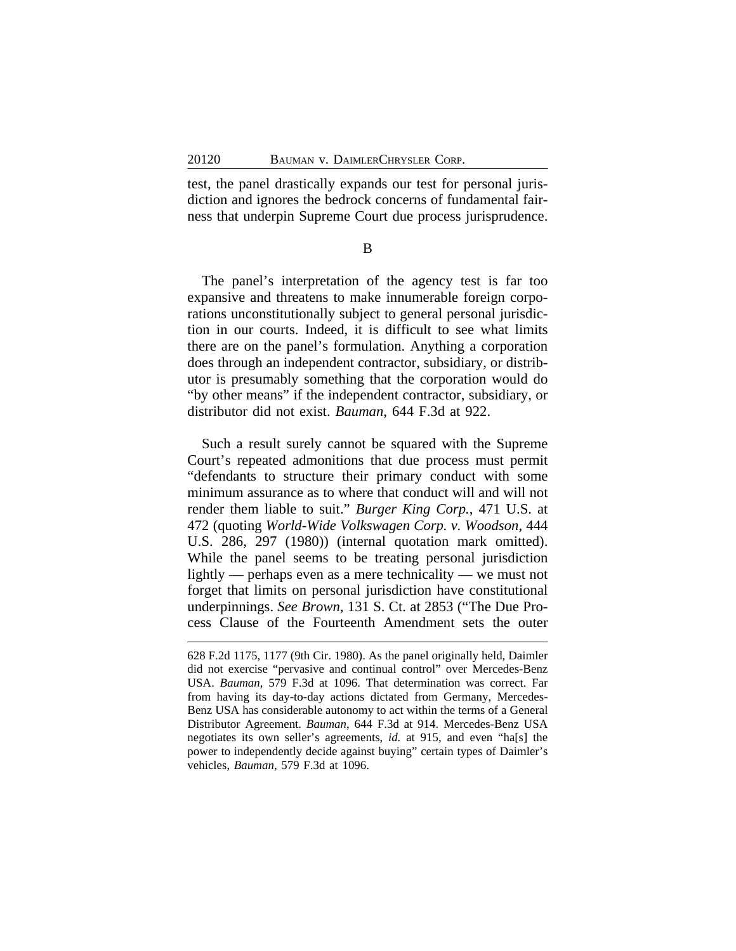test, the panel drastically expands our test for personal jurisdiction and ignores the bedrock concerns of fundamental fairness that underpin Supreme Court due process jurisprudence.

B

The panel's interpretation of the agency test is far too expansive and threatens to make innumerable foreign corporations unconstitutionally subject to general personal jurisdiction in our courts. Indeed, it is difficult to see what limits there are on the panel's formulation. Anything a corporation does through an independent contractor, subsidiary, or distributor is presumably something that the corporation would do "by other means" if the independent contractor, subsidiary, or distributor did not exist. *Bauman*, 644 F.3d at 922.

Such a result surely cannot be squared with the Supreme Court's repeated admonitions that due process must permit "defendants to structure their primary conduct with some minimum assurance as to where that conduct will and will not render them liable to suit." *Burger King Corp.*, 471 U.S. at 472 (quoting *World-Wide Volkswagen Corp. v. Woodson*, 444 U.S. 286, 297 (1980)) (internal quotation mark omitted). While the panel seems to be treating personal jurisdiction lightly — perhaps even as a mere technicality — we must not forget that limits on personal jurisdiction have constitutional underpinnings. *See Brown*, 131 S. Ct. at 2853 ("The Due Process Clause of the Fourteenth Amendment sets the outer

<sup>628</sup> F.2d 1175, 1177 (9th Cir. 1980). As the panel originally held, Daimler did not exercise "pervasive and continual control" over Mercedes-Benz USA. *Bauman*, 579 F.3d at 1096. That determination was correct. Far from having its day-to-day actions dictated from Germany, Mercedes-Benz USA has considerable autonomy to act within the terms of a General Distributor Agreement. *Bauman*, 644 F.3d at 914. Mercedes-Benz USA negotiates its own seller's agreements, *id.* at 915, and even "ha[s] the power to independently decide against buying" certain types of Daimler's vehicles, *Bauman*, 579 F.3d at 1096.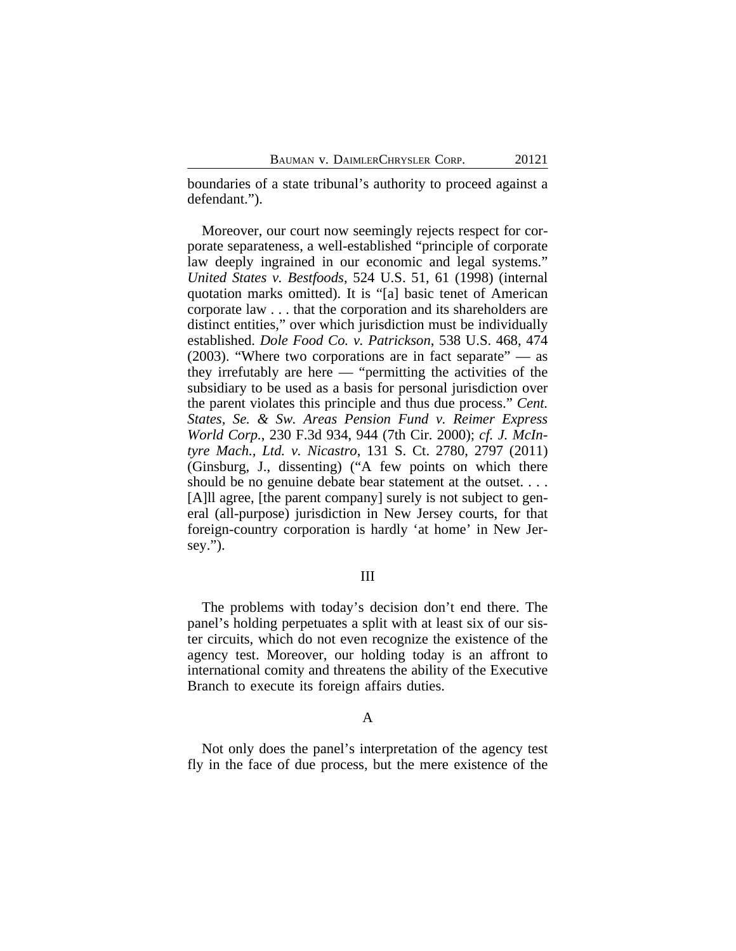boundaries of a state tribunal's authority to proceed against a defendant.").

Moreover, our court now seemingly rejects respect for corporate separateness, a well-established "principle of corporate law deeply ingrained in our economic and legal systems." *United States v. Bestfoods*, 524 U.S. 51, 61 (1998) (internal quotation marks omitted). It is "[a] basic tenet of American corporate law . . . that the corporation and its shareholders are distinct entities," over which jurisdiction must be individually established. *Dole Food Co. v. Patrickson*, 538 U.S. 468, 474 (2003). "Where two corporations are in fact separate" — as they irrefutably are here — "permitting the activities of the subsidiary to be used as a basis for personal jurisdiction over the parent violates this principle and thus due process." *Cent. States, Se. & Sw. Areas Pension Fund v. Reimer Express World Corp.*, 230 F.3d 934, 944 (7th Cir. 2000); *cf. J. McIntyre Mach., Ltd. v. Nicastro*, 131 S. Ct. 2780, 2797 (2011) (Ginsburg, J., dissenting) ("A few points on which there should be no genuine debate bear statement at the outset. . . . [A]ll agree, [the parent company] surely is not subject to general (all-purpose) jurisdiction in New Jersey courts, for that foreign-country corporation is hardly 'at home' in New Jersey.").

### III

The problems with today's decision don't end there. The panel's holding perpetuates a split with at least six of our sister circuits, which do not even recognize the existence of the agency test. Moreover, our holding today is an affront to international comity and threatens the ability of the Executive Branch to execute its foreign affairs duties.

#### A

Not only does the panel's interpretation of the agency test fly in the face of due process, but the mere existence of the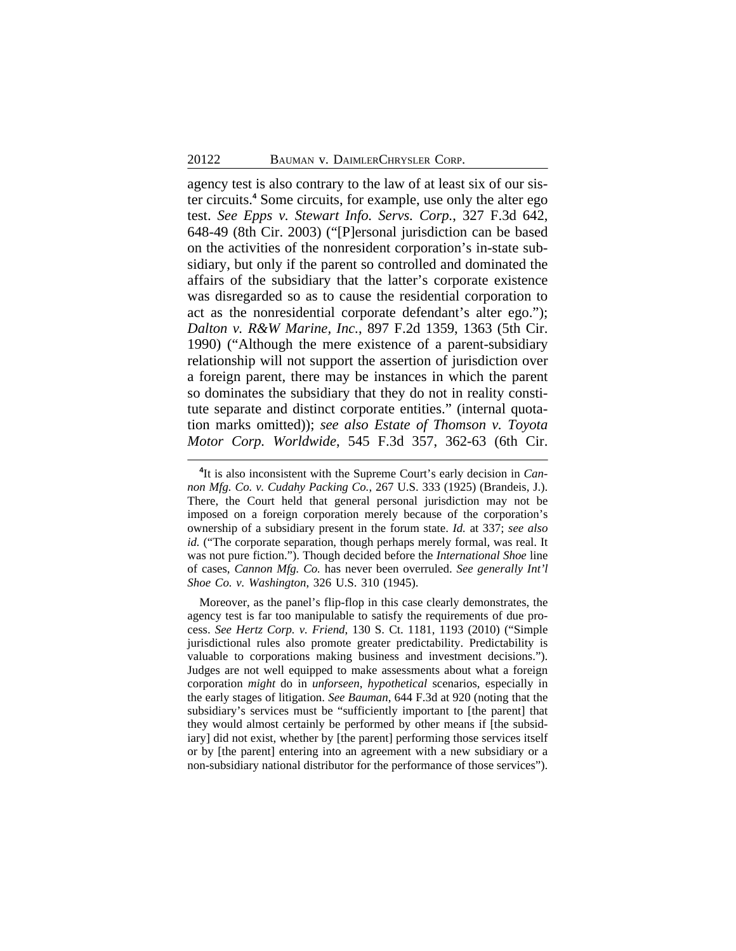agency test is also contrary to the law of at least six of our sister circuits.**<sup>4</sup>** Some circuits, for example, use only the alter ego test. *See Epps v. Stewart Info. Servs. Corp.*, 327 F.3d 642, 648-49 (8th Cir. 2003) ("[P]ersonal jurisdiction can be based on the activities of the nonresident corporation's in-state subsidiary, but only if the parent so controlled and dominated the affairs of the subsidiary that the latter's corporate existence was disregarded so as to cause the residential corporation to act as the nonresidential corporate defendant's alter ego."); *Dalton v. R&W Marine, Inc.*, 897 F.2d 1359, 1363 (5th Cir. 1990) ("Although the mere existence of a parent-subsidiary relationship will not support the assertion of jurisdiction over a foreign parent, there may be instances in which the parent so dominates the subsidiary that they do not in reality constitute separate and distinct corporate entities." (internal quotation marks omitted)); *see also Estate of Thomson v. Toyota Motor Corp. Worldwide*, 545 F.3d 357, 362-63 (6th Cir.

Moreover, as the panel's flip-flop in this case clearly demonstrates, the agency test is far too manipulable to satisfy the requirements of due process. *See Hertz Corp. v. Friend*, 130 S. Ct. 1181, 1193 (2010) ("Simple jurisdictional rules also promote greater predictability. Predictability is valuable to corporations making business and investment decisions."). Judges are not well equipped to make assessments about what a foreign corporation *might* do in *unforseen*, *hypothetical* scenarios, especially in the early stages of litigation. *See Bauman*, 644 F.3d at 920 (noting that the subsidiary's services must be "sufficiently important to [the parent] that they would almost certainly be performed by other means if [the subsidiary] did not exist, whether by [the parent] performing those services itself or by [the parent] entering into an agreement with a new subsidiary or a non-subsidiary national distributor for the performance of those services").

**<sup>4</sup>** It is also inconsistent with the Supreme Court's early decision in *Cannon Mfg. Co. v. Cudahy Packing Co.*, 267 U.S. 333 (1925) (Brandeis, J.). There, the Court held that general personal jurisdiction may not be imposed on a foreign corporation merely because of the corporation's ownership of a subsidiary present in the forum state. *Id.* at 337; *see also id.* ("The corporate separation, though perhaps merely formal, was real. It was not pure fiction."). Though decided before the *International Shoe* line of cases, *Cannon Mfg. Co.* has never been overruled. *See generally Int'l Shoe Co. v. Washington*, 326 U.S. 310 (1945).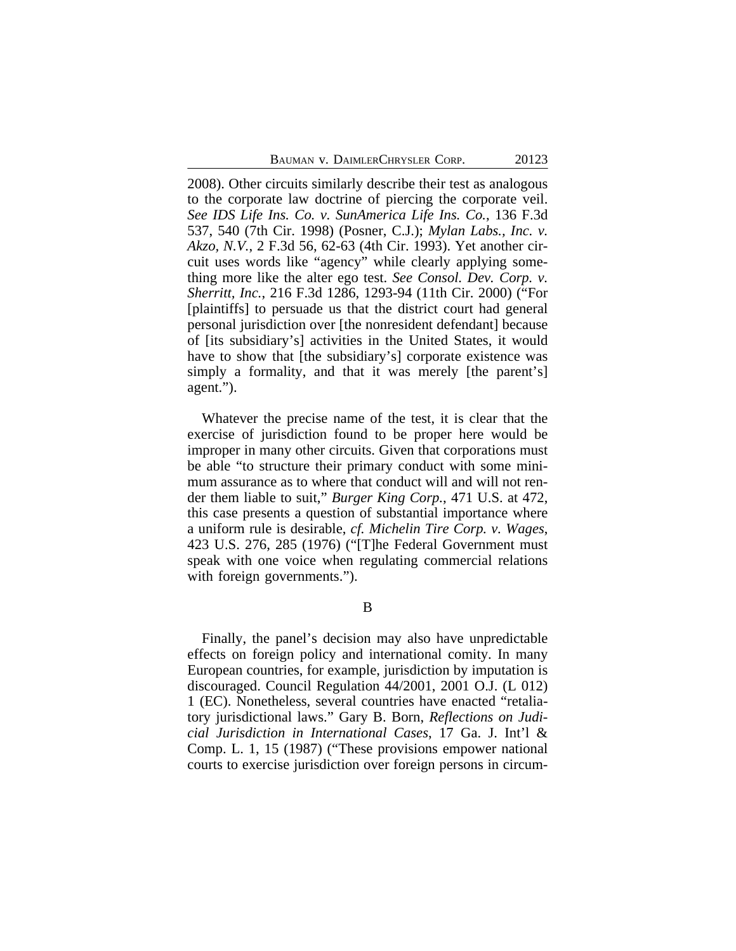2008). Other circuits similarly describe their test as analogous to the corporate law doctrine of piercing the corporate veil. *See IDS Life Ins. Co. v. SunAmerica Life Ins. Co.*, 136 F.3d 537, 540 (7th Cir. 1998) (Posner, C.J.); *Mylan Labs., Inc. v. Akzo, N.V.*, 2 F.3d 56, 62-63 (4th Cir. 1993). Yet another circuit uses words like "agency" while clearly applying something more like the alter ego test. *See Consol. Dev. Corp. v. Sherritt, Inc.*, 216 F.3d 1286, 1293-94 (11th Cir. 2000) ("For [plaintiffs] to persuade us that the district court had general personal jurisdiction over [the nonresident defendant] because of [its subsidiary's] activities in the United States, it would have to show that [the subsidiary's] corporate existence was simply a formality, and that it was merely [the parent's] agent.").

Whatever the precise name of the test, it is clear that the exercise of jurisdiction found to be proper here would be improper in many other circuits. Given that corporations must be able "to structure their primary conduct with some minimum assurance as to where that conduct will and will not render them liable to suit," *Burger King Corp.*, 471 U.S. at 472, this case presents a question of substantial importance where a uniform rule is desirable, *cf. Michelin Tire Corp. v. Wages*, 423 U.S. 276, 285 (1976) ("[T]he Federal Government must speak with one voice when regulating commercial relations with foreign governments.").

B

Finally, the panel's decision may also have unpredictable effects on foreign policy and international comity. In many European countries, for example, jurisdiction by imputation is discouraged. Council Regulation 44/2001, 2001 O.J. (L 012) 1 (EC). Nonetheless, several countries have enacted "retaliatory jurisdictional laws." Gary B. Born, *Reflections on Judicial Jurisdiction in International Cases*, 17 Ga. J. Int'l & Comp. L. 1, 15 (1987) ("These provisions empower national courts to exercise jurisdiction over foreign persons in circum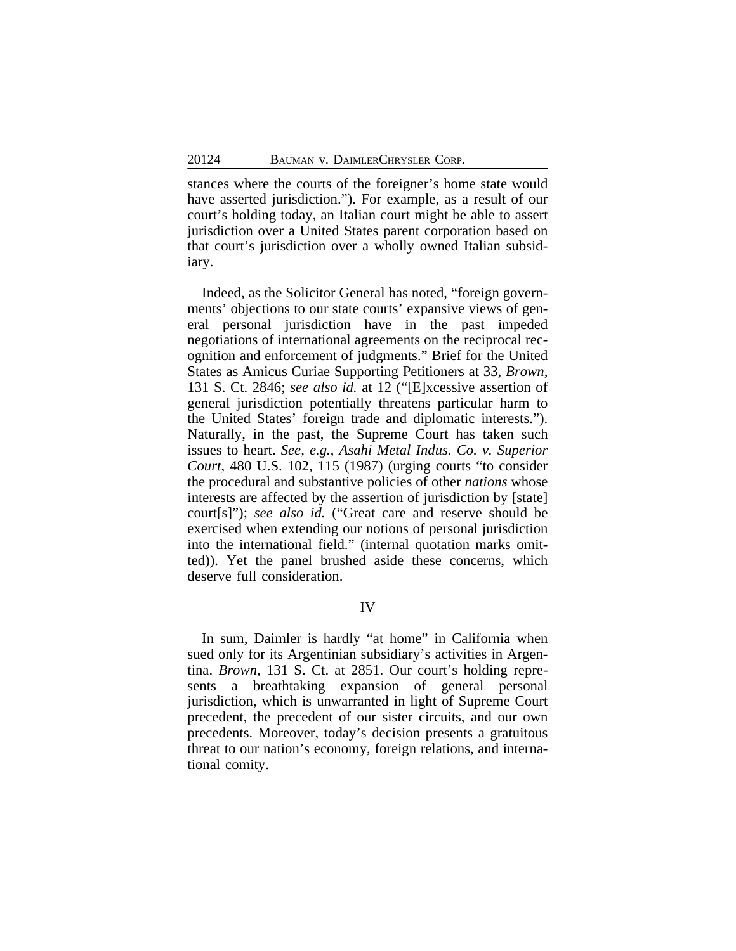stances where the courts of the foreigner's home state would have asserted jurisdiction."). For example, as a result of our court's holding today, an Italian court might be able to assert jurisdiction over a United States parent corporation based on that court's jurisdiction over a wholly owned Italian subsidiary.

Indeed, as the Solicitor General has noted, "foreign governments' objections to our state courts' expansive views of general personal jurisdiction have in the past impeded negotiations of international agreements on the reciprocal recognition and enforcement of judgments." Brief for the United States as Amicus Curiae Supporting Petitioners at 33, *Brown*, 131 S. Ct. 2846; *see also id.* at 12 ("[E]xcessive assertion of general jurisdiction potentially threatens particular harm to the United States' foreign trade and diplomatic interests."). Naturally, in the past, the Supreme Court has taken such issues to heart. *See, e.g.*, *Asahi Metal Indus. Co. v. Superior Court*, 480 U.S. 102, 115 (1987) (urging courts "to consider the procedural and substantive policies of other *nations* whose interests are affected by the assertion of jurisdiction by [state] court[s]"); *see also id.* ("Great care and reserve should be exercised when extending our notions of personal jurisdiction into the international field." (internal quotation marks omitted)). Yet the panel brushed aside these concerns, which deserve full consideration.

## IV

In sum, Daimler is hardly "at home" in California when sued only for its Argentinian subsidiary's activities in Argentina. *Brown*, 131 S. Ct. at 2851. Our court's holding represents a breathtaking expansion of general personal jurisdiction, which is unwarranted in light of Supreme Court precedent, the precedent of our sister circuits, and our own precedents. Moreover, today's decision presents a gratuitous threat to our nation's economy, foreign relations, and international comity.